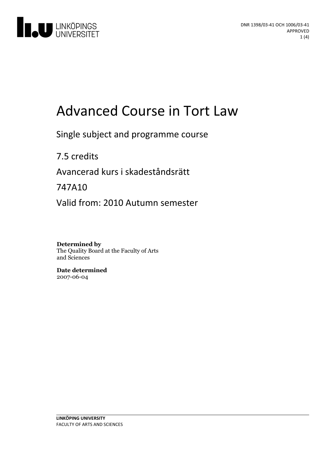

# Advanced Course in Tort Law

Single subject and programme course

7.5 credits Avancerad kurs i skadeståndsrätt

747A10

Valid from: 2010 Autumn semester

**Determined by** The Quality Board at the Faculty of Arts and Sciences

**Date determined** 2007-06-04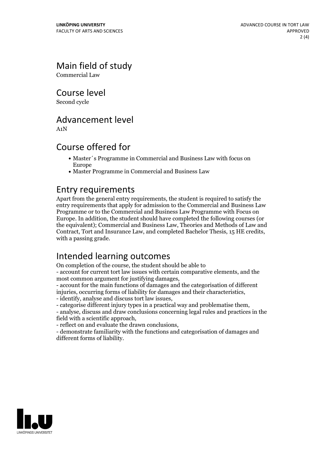Main field of study

Commercial Law

Course level

Second cycle

#### Advancement level

A1N

#### Course offered for

- Master´s Programme in Commercial and Business Law with focus on Europe
- Master Programme in Commercial and Business Law

#### Entry requirements

Apart from the general entry requirements, the student is required to satisfy the entry requirements that apply for admission to the Commercial and Business Law Programme or to the Commercial and Business Law Programme with Focus on Europe. In addition, the student should have completed the following courses (or the equivalent); Commercial and Business Law, Theories and Methods of Law and Contract, Tort and Insurance Law, and completed Bachelor Thesis, <sup>15</sup> HE credits, with <sup>a</sup> passing grade.

# Intended learning outcomes

On completion of the course, the student should be able to

- account for current tort law issues with certain comparative elements, and the

most common argument for justifying damages, - account for the main functions of damages and the categorisation of different

injuries, occurring forms of liability for damages and their characteristics,<br>- identify, analyse and discuss tort law issues,<br>- categorise different injury types in a practical way and problematise them,<br>- analyse, discus

field with <sup>a</sup> scientific approach, - reflect on and evaluate the drawn conclusions, - demonstrate familiarity with the functions and categorisation of damages and different forms of liability.

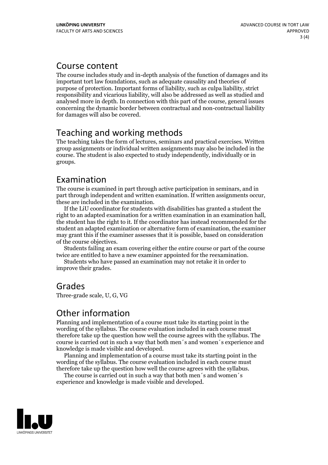#### Course content

The course includes study and in-depth analysis of the function of damages and its important tort law foundations, such as adequate causality and theories of purpose of protection. Important forms of liability, such as culpa liability, strict responsibility and vicarious liability, will also be addressed as well as studied and analysed more in depth. In connection with this part of the course, general issues concerning the dynamic border between contractual and non-contractual liability for damages will also be covered.

# Teaching and working methods

The teaching takes the form of lectures, seminars and practical exercises. Written group assignments or individual written assignments may also be included in the course. The student is also expected to study independently, individually or in groups.

# Examination

The course is examined in part through active participation in seminars, and in part through independent and written examination. If written assignments occur, these are included in the examination. If the LiU coordinator for students with disabilities has granted <sup>a</sup> student the

right to an adapted examination for <sup>a</sup> written examination in an examination hall, the student has the right to it. If the coordinator has instead recommended for the student an adapted examination or alternative form of examination, the examiner may grant this if the examiner assesses that it is possible, based on consideration of the course objectives. Students failing an exam covering either the entire course or part of the course

twice are entitled to have <sup>a</sup> new examiner appointed for the reexamination. Students who have passed an examination may not retake it in order to

improve their grades.

# Grades

Three-grade scale, U, G, VG

# Other information

Planning and implementation of a course must take its starting point in the wording of the syllabus. The course evaluation included in each course must therefore take up the question how well the course agrees with the syllabus. The course is carried outin such a way that both men´s and women´s experience and

knowledge is made visible and developed. Planning and implementation of <sup>a</sup> course must take its starting point in the wording of the syllabus. The course evaluation included in each course must therefore take up the question how well the course agrees with the syllabus. The course is carried outin such <sup>a</sup> way that both men´s and women´s

experience and knowledge is made visible and developed.